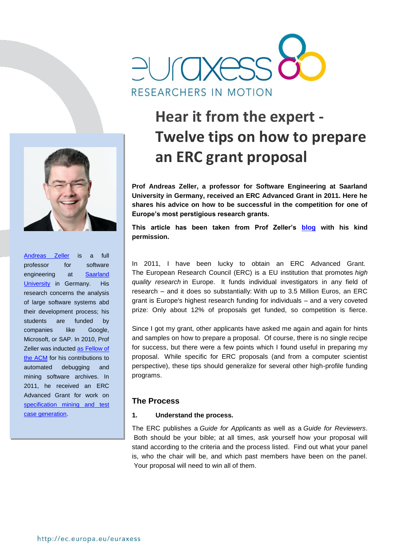



[Andreas Zeller](https://www.st.cs.uni-saarland.de/zeller/) is a full professor for software engineering at [Saarland](http://www.uni-saarland.de/en/home.html)  [University](http://www.uni-saarland.de/en/home.html) in Germany. His research concerns the analysis of large software systems abd their development process; his students are funded by companies like Google, Microsoft, or SAP. In 2010, Prof Zeller was inducted [as Fellow of](http://awards.acm.org/fellow/)  [the ACM](http://awards.acm.org/fellow/) for his contributions to automated debugging and mining software archives. In 2011, he received an ERC Advanced Grant for work on [specification mining and test](http://www.specmate.org/)  [case generation.](http://www.specmate.org/)

# **Hear it from the expert - Twelve tips on how to prepare an ERC grant proposal**

**Prof Andreas Zeller, a professor for Software Engineering at Saarland University in Germany, received an ERC Advanced Grant in 2011. Here he shares his advice on how to be successful in the competition for one of Europe's most perstigious research grants.**

**This article has been taken from Prof Zeller's [blog](http://andreas-zeller.blogspot.sg/2013/02/twelve-tips-on-how-to-prepare-erc-grant.html) with his kind permission.** 

In 2011, I have been lucky to obtain an ERC Advanced Grant. The European Research Council (ERC) is a EU institution that promotes *high quality research* in Europe. It funds individual investigators in any field of research – and it does so substantially: With up to 3.5 Million Euros, an ERC grant is Europe's highest research funding for individuals – and a very coveted prize: Only about 12% of proposals get funded, so competition is fierce.

Since I got my grant, other applicants have asked me again and again for hints and samples on how to prepare a proposal. Of course, there is no single recipe for success, but there were a few points which I found useful in preparing my proposal. While specific for ERC proposals (and from a computer scientist perspective), these tips should generalize for several other high-profile funding programs.

#### **The Process**

#### **1. Understand the process.**

The ERC publishes a *Guide for Applicants* as well as a *Guide for Reviewers*. Both should be your bible; at all times, ask yourself how your proposal will stand according to the criteria and the process listed. Find out what your panel is, who the chair will be, and which past members have been on the panel. Your proposal will need to win all of them.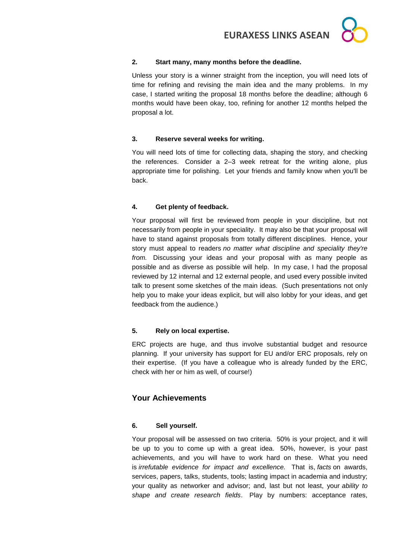## **2. Start many, many months before the deadline.**

Unless your story is a winner straight from the inception, you will need lots of time for refining and revising the main idea and the many problems. In my case, I started writing the proposal 18 months before the deadline; although 6 months would have been okay, too, refining for another 12 months helped the proposal a lot.

## **3. Reserve several weeks for writing.**

You will need lots of time for collecting data, shaping the story, and checking the references. Consider a 2–3 week retreat for the writing alone, plus appropriate time for polishing. Let your friends and family know when you'll be back.

## **4. Get plenty of feedback.**

Your proposal will first be reviewed from people in your discipline, but not necessarily from people in your speciality. It may also be that your proposal will have to stand against proposals from totally different disciplines. Hence, your story must appeal to readers *no matter what discipline and speciality they're from.* Discussing your ideas and your proposal with as many people as possible and as diverse as possible will help. In my case, I had the proposal reviewed by 12 internal and 12 external people, and used every possible invited talk to present some sketches of the main ideas. (Such presentations not only help you to make your ideas explicit, but will also lobby for your ideas, and get feedback from the audience.)

## **5. Rely on local expertise.**

ERC projects are huge, and thus involve substantial budget and resource planning. If your university has support for EU and/or ERC proposals, rely on their expertise. (If you have a colleague who is already funded by the ERC, check with her or him as well, of course!)

## **Your Achievements**

## **6. Sell yourself.**

Your proposal will be assessed on two criteria. 50% is your project, and it will be up to you to come up with a great idea. 50%, however, is your past achievements, and you will have to work hard on these. What you need is *irrefutable evidence for impact and excellence.* That is, *facts* on awards, services, papers, talks, students, tools; lasting impact in academia and industry; your quality as networker and advisor; and, last but not least, your *ability to shape and create research fields*. Play by numbers: acceptance rates,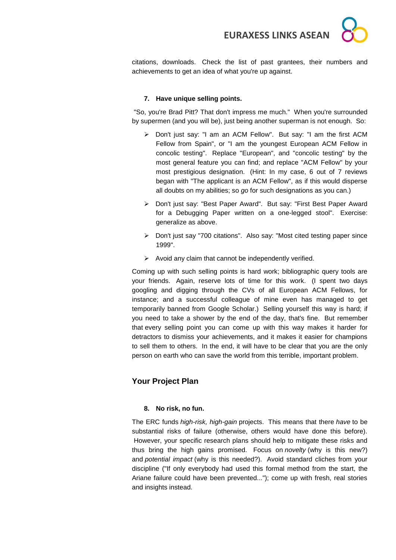

citations, downloads. Check the list of past grantees, their numbers and achievements to get an idea of what you're up against.

#### **7. Have unique selling points.**

"So, you're Brad Pitt? That don't impress me much." When you're surrounded by supermen (and you will be), just being another superman is not enough. So:

- Don't just say: "I am an ACM Fellow". But say: "I am the first ACM Fellow from Spain", or "I am the youngest European ACM Fellow in concolic testing". Replace "European", and "concolic testing" by the most general feature you can find; and replace "ACM Fellow" by your most prestigious designation. (Hint: In my case, 6 out of 7 reviews began with "The applicant is an ACM Fellow", as if this would disperse all doubts on my abilities; so *go* for such designations as you can.)
- Don't just say: "Best Paper Award". But say: "First Best Paper Award for a Debugging Paper written on a one-legged stool". Exercise: generalize as above.
- Don't just say "700 citations". Also say: "Most cited testing paper since 1999".
- $\triangleright$  Avoid any claim that cannot be independently verified.

Coming up with such selling points is hard work; bibliographic query tools are your friends. Again, reserve lots of time for this work. (I spent two days googling and digging through the CVs of all European ACM Fellows, for instance; and a successful colleague of mine even has managed to get temporarily banned from Google Scholar.) Selling yourself this way is hard; if you need to take a shower by the end of the day, that's fine. But remember that every selling point you can come up with this way makes it harder for detractors to dismiss your achievements, and it makes it easier for champions to sell them to others. In the end, it will have to be clear that you are the only person on earth who can save the world from this terrible, important problem.

## **Your Project Plan**

#### **8. No risk, no fun.**

The ERC funds *high-risk, high-gain* projects. This means that there *have* to be substantial risks of failure (otherwise, others would have done this before). However, your specific research plans should help to mitigate these risks and thus bring the high gains promised. Focus on *novelty* (why is this new?) and *potential impact* (why is this needed?). Avoid standard cliches from your discipline ("If only everybody had used this formal method from the start, the Ariane failure could have been prevented..."); come up with fresh, real stories and insights instead.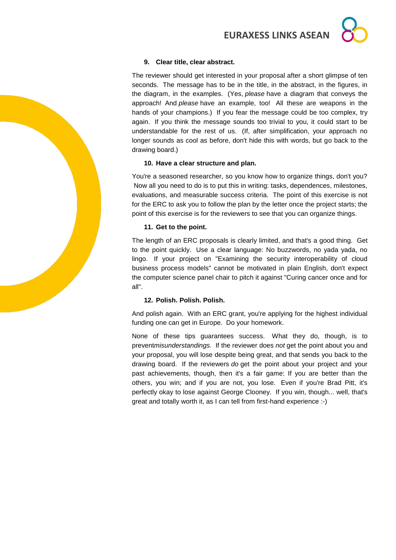## **9. Clear title, clear abstract.**

The reviewer should get interested in your proposal after a short glimpse of ten seconds. The message has to be in the title, in the abstract, in the figures, in the diagram, in the examples. (Yes, *please* have a diagram that conveys the approach! And *please* have an example, too! All these are weapons in the hands of your champions.) If you fear the message could be too complex, try again. If you think the message sounds too trivial to you, it could start to be understandable for the rest of us. (If, after simplification, your approach no longer sounds as cool as before, don't hide this with words, but go back to the drawing board.)

#### **10. Have a clear structure and plan.**

You're a seasoned researcher, so you know how to organize things, don't you? Now all you need to do is to put this in writing: tasks, dependences, milestones, evaluations, and measurable success criteria. The point of this exercise is not for the ERC to ask you to follow the plan by the letter once the project starts; the point of this exercise is for the reviewers to see that you can organize things.

#### **11. Get to the point.**

The length of an ERC proposals is clearly limited, and that's a good thing. Get to the point quickly. Use a clear language: No buzzwords, no yada yada, no lingo. If your project on "Examining the security interoperability of cloud business process models" cannot be motivated in plain English, don't expect the computer science panel chair to pitch it against "Curing cancer once and for all".

#### **12. Polish. Polish. Polish.**

And polish again. With an ERC grant, you're applying for the highest individual funding one can get in Europe. Do your homework.

None of these tips guarantees success. What they do, though, is to prevent*misunderstandings.* If the reviewer does *not* get the point about you and your proposal, you will lose despite being great, and that sends you back to the drawing board. If the reviewers *do* get the point about your project and your past achievements, though, then it's a fair game: If you are better than the others, you win; and if you are not, you lose. Even if you're Brad Pitt, it's perfectly okay to lose against George Clooney. If you win, though... well, that's great and totally worth it, as I can tell from first-hand experience :-)